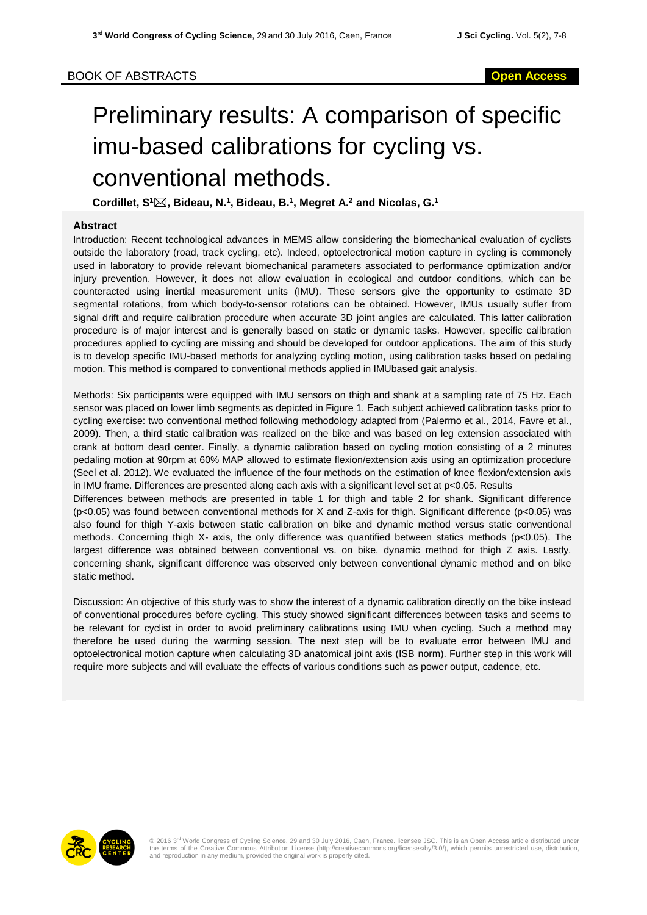# Preliminary results: A comparison of specific imu-based calibrations for cycling vs. conventional methods.

**Cordillet, S<sup>1</sup>, Bideau, N.<sup>1</sup> , Bideau, B.<sup>1</sup> , Megret A.<sup>2</sup> and Nicolas, G.<sup>1</sup>**

## **Abstract**

Introduction: Recent technological advances in MEMS allow considering the biomechanical evaluation of cyclists outside the laboratory (road, track cycling, etc). Indeed, optoelectronical motion capture in cycling is commonely used in laboratory to provide relevant biomechanical parameters associated to performance optimization and/or injury prevention. However, it does not allow evaluation in ecological and outdoor conditions, which can be counteracted using inertial measurement units (IMU). These sensors give the opportunity to estimate 3D segmental rotations, from which body-to-sensor rotations can be obtained. However, IMUs usually suffer from signal drift and require calibration procedure when accurate 3D joint angles are calculated. This latter calibration procedure is of major interest and is generally based on static or dynamic tasks. However, specific calibration procedures applied to cycling are missing and should be developed for outdoor applications. The aim of this study is to develop specific IMU-based methods for analyzing cycling motion, using calibration tasks based on pedaling motion. This method is compared to conventional methods applied in IMUbased gait analysis.

Methods: Six participants were equipped with IMU sensors on thigh and shank at a sampling rate of 75 Hz. Each sensor was placed on lower limb segments as depicted in Figure 1. Each subject achieved calibration tasks prior to cycling exercise: two conventional method following methodology adapted from (Palermo et al., 2014, Favre et al., 2009). Then, a third static calibration was realized on the bike and was based on leg extension associated with crank at bottom dead center. Finally, a dynamic calibration based on cycling motion consisting of a 2 minutes pedaling motion at 90rpm at 60% MAP allowed to estimate flexion/extension axis using an optimization procedure (Seel et al. 2012). We evaluated the influence of the four methods on the estimation of knee flexion/extension axis in IMU frame. Differences are presented along each axis with a significant level set at p<0.05. Results

Differences between methods are presented in table 1 for thigh and table 2 for shank. Significant difference (p<0.05) was found between conventional methods for X and Z-axis for thigh. Significant difference (p<0.05) was also found for thigh Y-axis between static calibration on bike and dynamic method versus static conventional methods. Concerning thigh X- axis, the only difference was quantified between statics methods (p<0.05). The largest difference was obtained between conventional vs. on bike, dynamic method for thigh Z axis. Lastly, concerning shank, significant difference was observed only between conventional dynamic method and on bike static method.

Discussion: An objective of this study was to show the interest of a dynamic calibration directly on the bike instead of conventional procedures before cycling. This study showed significant differences between tasks and seems to be relevant for cyclist in order to avoid preliminary calibrations using IMU when cycling. Such a method may therefore be used during the warming session. The next step will be to evaluate error between IMU and optoelectronical motion capture when calculating 3D anatomical joint axis (ISB norm). Further step in this work will require more subjects and will evaluate the effects of various conditions such as power output, cadence, etc.